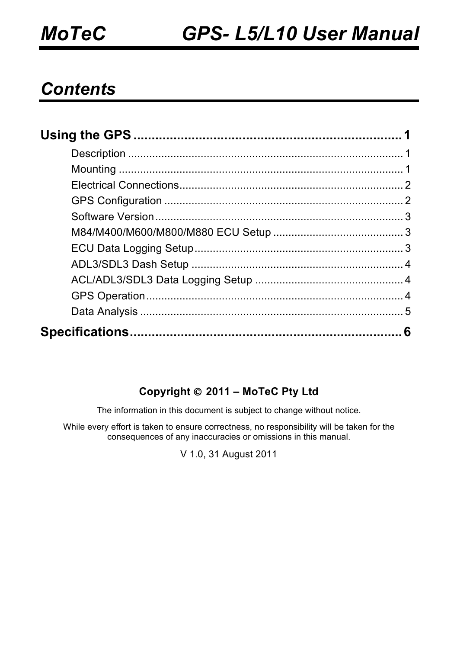#### *Contents*

#### **Copyright 2011 – MoTeC Pty Ltd**

The information in this document is subject to change without notice.

While every effort is taken to ensure correctness, no responsibility will be taken for the consequences of any inaccuracies or omissions in this manual.

V 1.0, 31 August 2011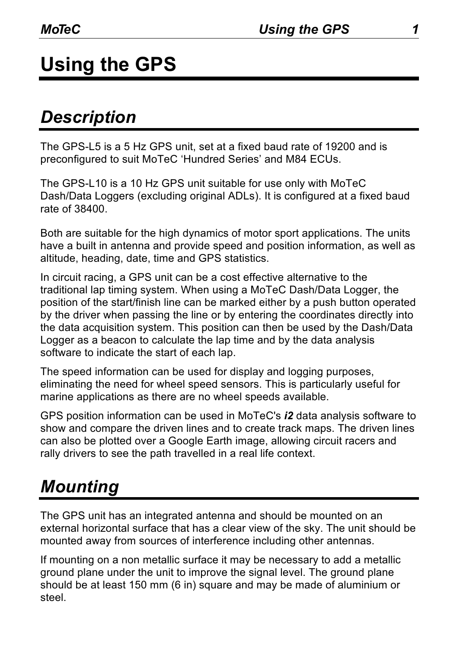# **Using the GPS**

### *Description*

The GPS-L5 is a 5 Hz GPS unit, set at a fixed baud rate of 19200 and is preconfigured to suit MoTeC 'Hundred Series' and M84 ECUs.

The GPS-L10 is a 10 Hz GPS unit suitable for use only with MoTeC Dash/Data Loggers (excluding original ADLs). It is configured at a fixed baud rate of 38400.

Both are suitable for the high dynamics of motor sport applications. The units have a built in antenna and provide speed and position information, as well as altitude, heading, date, time and GPS statistics.

In circuit racing, a GPS unit can be a cost effective alternative to the traditional lap timing system. When using a MoTeC Dash/Data Logger, the position of the start/finish line can be marked either by a push button operated by the driver when passing the line or by entering the coordinates directly into the data acquisition system. This position can then be used by the Dash/Data Logger as a beacon to calculate the lap time and by the data analysis software to indicate the start of each lap.

The speed information can be used for display and logging purposes, eliminating the need for wheel speed sensors. This is particularly useful for marine applications as there are no wheel speeds available.

GPS position information can be used in MoTeC's *i2* data analysis software to show and compare the driven lines and to create track maps. The driven lines can also be plotted over a Google Earth image, allowing circuit racers and rally drivers to see the path travelled in a real life context.

### *Mounting*

The GPS unit has an integrated antenna and should be mounted on an external horizontal surface that has a clear view of the sky. The unit should be mounted away from sources of interference including other antennas.

If mounting on a non metallic surface it may be necessary to add a metallic ground plane under the unit to improve the signal level. The ground plane should be at least 150 mm (6 in) square and may be made of aluminium or steel.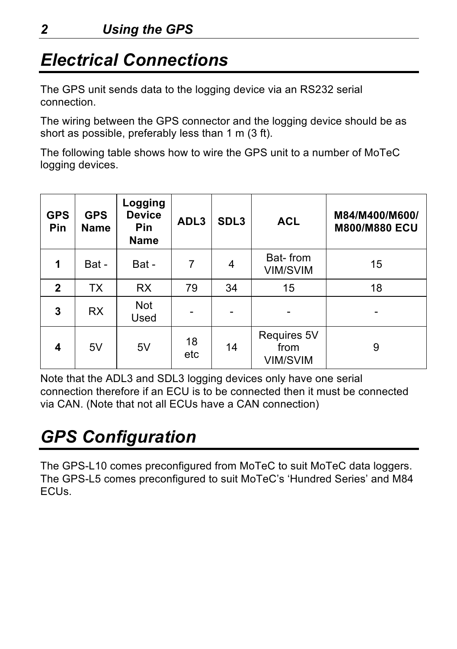### *Electrical Connections*

The GPS unit sends data to the logging device via an RS232 serial connection.

The wiring between the GPS connector and the logging device should be as short as possible, preferably less than 1 m (3 ft).

The following table shows how to wire the GPS unit to a number of MoTeC logging devices.

| <b>GPS</b><br><b>Pin</b> | <b>GPS</b><br><b>Name</b> | Logging<br><b>Device</b><br><b>Pin</b><br><b>Name</b> | ADL3      | SDL <sub>3</sub> | <b>ACL</b>                             | M84/M400/M600/<br><b>M800/M880 ECU</b> |
|--------------------------|---------------------------|-------------------------------------------------------|-----------|------------------|----------------------------------------|----------------------------------------|
| 1                        | Bat -                     | Bat -                                                 | 7         | 4                | Bat-from<br><b>VIM/SVIM</b>            | 15                                     |
| $\mathbf{2}$             | ТX                        | <b>RX</b>                                             | 79        | 34               | 15                                     | 18                                     |
| 3                        | <b>RX</b>                 | Not<br>Used                                           |           |                  |                                        |                                        |
| 4                        | 5V                        | 5V                                                    | 18<br>etc | 14               | Requires 5V<br>from<br><b>VIM/SVIM</b> | 9                                      |

Note that the ADL3 and SDL3 logging devices only have one serial connection therefore if an ECU is to be connected then it must be connected via CAN. (Note that not all ECUs have a CAN connection)

## *GPS Configuration*

The GPS-L10 comes preconfigured from MoTeC to suit MoTeC data loggers. The GPS-L5 comes preconfigured to suit MoTeC's 'Hundred Series' and M84 ECUs.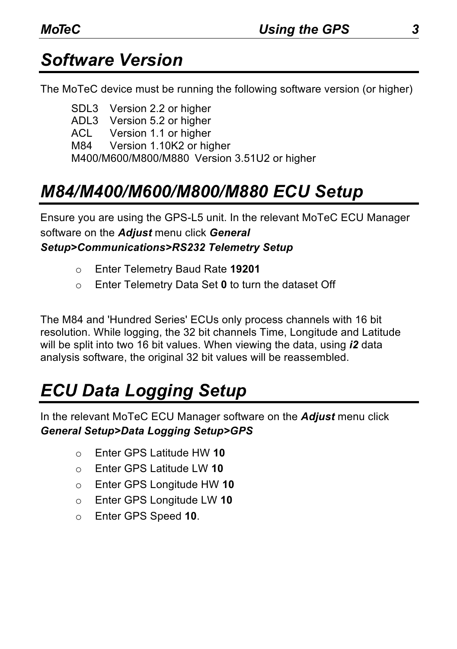### *Software Version*

The MoTeC device must be running the following software version (or higher)

SDL3 Version 2.2 or higher ADL3 Version 5.2 or higher<br>ACL Version 1.1 or higher Version 1.1 or higher M84 Version 1.10K2 or higher M400/M600/M800/M880 Version 3.51U2 or higher

### *M84/M400/M600/M800/M880 ECU Setup*

Ensure you are using the GPS-L5 unit. In the relevant MoTeC ECU Manager software on the *Adjust* menu click *General Setup>Communications>RS232 Telemetry Setup*

- o Enter Telemetry Baud Rate **19201**
- o Enter Telemetry Data Set **0** to turn the dataset Off

The M84 and 'Hundred Series' ECUs only process channels with 16 bit resolution. While logging, the 32 bit channels Time, Longitude and Latitude will be split into two 16 bit values. When viewing the data, using *i2* data analysis software, the original 32 bit values will be reassembled.

## *ECU Data Logging Setup*

In the relevant MoTeC ECU Manager software on the *Adjust* menu click *General Setup>Data Logging Setup>GPS*

- o Enter GPS Latitude HW **10**
- o Enter GPS Latitude LW **10**
- o Enter GPS Longitude HW **10**
- o Enter GPS Longitude LW **10**
- o Enter GPS Speed **10**.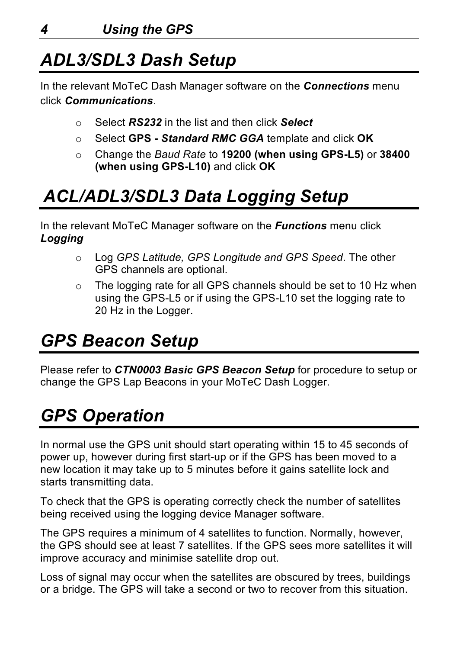## *ADL3/SDL3 Dash Setup*

In the relevant MoTeC Dash Manager software on the *Connections* menu click *Communications*.

- o Select *RS232* in the list and then click *Select*
- o Select **GPS**  *Standard RMC GGA* template and click **OK**
- o Change the *Baud Rate* to **19200 (when using GPS-L5)** or **38400 (when using GPS-L10)** and click **OK**

## *ACL/ADL3/SDL3 Data Logging Setup*

In the relevant MoTeC Manager software on the *Functions* menu click *Logging*

- o Log *GPS Latitude, GPS Longitude and GPS Speed*. The other GPS channels are optional.
- o The logging rate for all GPS channels should be set to 10 Hz when using the GPS-L5 or if using the GPS-L10 set the logging rate to 20 Hz in the Logger.

## *GPS Beacon Setup*

Please refer to *CTN0003 Basic GPS Beacon Setup* for procedure to setup or change the GPS Lap Beacons in your MoTeC Dash Logger.

## *GPS Operation*

In normal use the GPS unit should start operating within 15 to 45 seconds of power up, however during first start-up or if the GPS has been moved to a new location it may take up to 5 minutes before it gains satellite lock and starts transmitting data.

To check that the GPS is operating correctly check the number of satellites being received using the logging device Manager software.

The GPS requires a minimum of 4 satellites to function. Normally, however, the GPS should see at least 7 satellites. If the GPS sees more satellites it will improve accuracy and minimise satellite drop out.

Loss of signal may occur when the satellites are obscured by trees, buildings or a bridge. The GPS will take a second or two to recover from this situation.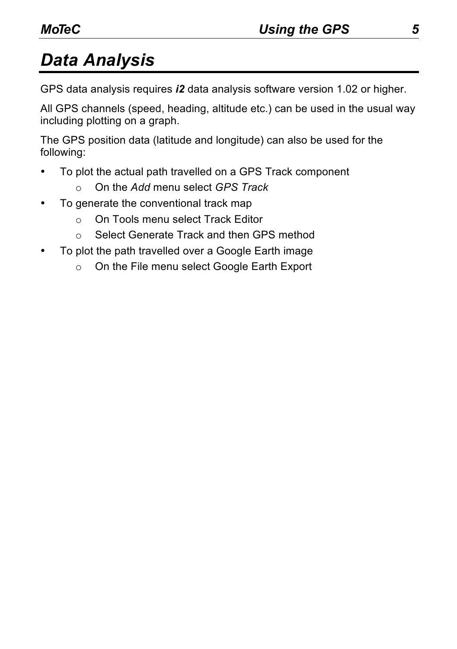## *Data Analysis*

GPS data analysis requires *i2* data analysis software version 1.02 or higher.

All GPS channels (speed, heading, altitude etc.) can be used in the usual way including plotting on a graph.

The GPS position data (latitude and longitude) can also be used for the following:

- To plot the actual path travelled on a GPS Track component
	- o On the *Add* menu select *GPS Track*
- To generate the conventional track map
	- o On Tools menu select Track Editor
	- o Select Generate Track and then GPS method
- To plot the path travelled over a Google Earth image
	- o On the File menu select Google Earth Export